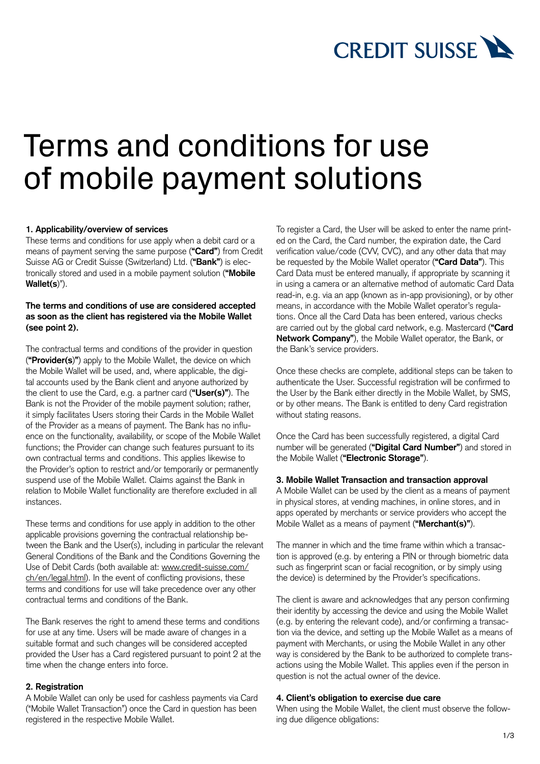

# Terms and conditions for use of mobile payment solutions

## **1. Applicability/overview of services**

These terms and conditions for use apply when a debit card or a means of payment serving the same purpose (**"Card"**) from Credit Suisse AG or Credit Suisse (Switzerland) Ltd. (**"Bank"**) is electronically stored and used in a mobile payment solution (**"Mobile Wallet(s**)").

## **The terms and conditions of use are considered accepted as soon as the client has registered via the Mobile Wallet (see point 2).**

The contractual terms and conditions of the provider in question (**"Provider(s**)**"**) apply to the Mobile Wallet, the device on which the Mobile Wallet will be used, and, where applicable, the digital accounts used by the Bank client and anyone authorized by the client to use the Card, e.g. a partner card (**"User(s)"**). The Bank is not the Provider of the mobile payment solution; rather, it simply facilitates Users storing their Cards in the Mobile Wallet of the Provider as a means of payment. The Bank has no influence on the functionality, availability, or scope of the Mobile Wallet functions; the Provider can change such features pursuant to its own contractual terms and conditions. This applies likewise to the Provider's option to restrict and/or temporarily or permanently suspend use of the Mobile Wallet. Claims against the Bank in relation to Mobile Wallet functionality are therefore excluded in all instances.

These terms and conditions for use apply in addition to the other applicable provisions governing the contractual relationship between the Bank and the User(s), including in particular the relevant General Conditions of the Bank and the Conditions Governing the Use of Debit Cards (both available at: [www.credit-suisse.com/](https://www.credit-suisse.com/ch/en/legal.html) [ch/en/legal.html](https://www.credit-suisse.com/ch/en/legal.html)). In the event of conflicting provisions, these terms and conditions for use will take precedence over any other contractual terms and conditions of the Bank.

The Bank reserves the right to amend these terms and conditions for use at any time. Users will be made aware of changes in a suitable format and such changes will be considered accepted provided the User has a Card registered pursuant to point 2 at the time when the change enters into force.

## **2. Registration**

A Mobile Wallet can only be used for cashless payments via Card ("Mobile Wallet Transaction") once the Card in question has been registered in the respective Mobile Wallet.

To register a Card, the User will be asked to enter the name printed on the Card, the Card number, the expiration date, the Card verification value/code (CVV, CVC), and any other data that may be requested by the Mobile Wallet operator (**"Card Data"**). This Card Data must be entered manually, if appropriate by scanning it in using a camera or an alternative method of automatic Card Data read-in, e.g. via an app (known as in-app provisioning), or by other means, in accordance with the Mobile Wallet operator's regulations. Once all the Card Data has been entered, various checks are carried out by the global card network, e.g. Mastercard (**"Card Network Company"**), the Mobile Wallet operator, the Bank, or the Bank's service providers.

Once these checks are complete, additional steps can be taken to authenticate the User. Successful registration will be confirmed to the User by the Bank either directly in the Mobile Wallet, by SMS, or by other means. The Bank is entitled to deny Card registration without stating reasons.

Once the Card has been successfully registered, a digital Card number will be generated (**"Digital Card Number"**) and stored in the Mobile Wallet (**"Electronic Storage"**).

# **3. Mobile Wallet Transaction and transaction approval**

A Mobile Wallet can be used by the client as a means of payment in physical stores, at vending machines, in online stores, and in apps operated by merchants or service providers who accept the Mobile Wallet as a means of payment (**"Merchant(s)"**).

The manner in which and the time frame within which a transaction is approved (e.g. by entering a PIN or through biometric data such as fingerprint scan or facial recognition, or by simply using the device) is determined by the Provider's specifications.

The client is aware and acknowledges that any person confirming their identity by accessing the device and using the Mobile Wallet (e.g. by entering the relevant code), and/or confirming a transaction via the device, and setting up the Mobile Wallet as a means of payment with Merchants, or using the Mobile Wallet in any other way is considered by the Bank to be authorized to complete transactions using the Mobile Wallet. This applies even if the person in question is not the actual owner of the device.

#### **4. Client's obligation to exercise due care**

When using the Mobile Wallet, the client must observe the following due diligence obligations: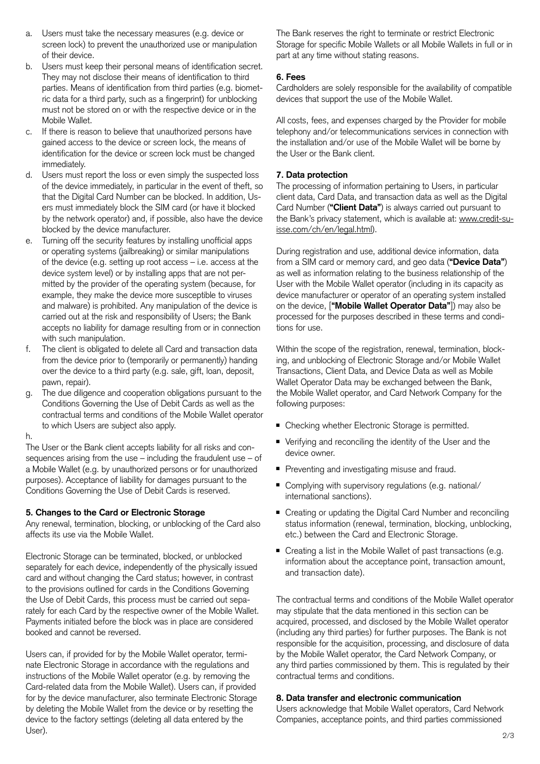- a. Users must take the necessary measures (e.g. device or screen lock) to prevent the unauthorized use or manipulation of their device.
- b. Users must keep their personal means of identification secret. They may not disclose their means of identification to third parties. Means of identification from third parties (e.g. biometric data for a third party, such as a fingerprint) for unblocking must not be stored on or with the respective device or in the Mobile Wallet.
- c. If there is reason to believe that unauthorized persons have gained access to the device or screen lock, the means of identification for the device or screen lock must be changed immediately.
- d. Users must report the loss or even simply the suspected loss of the device immediately, in particular in the event of theft, so that the Digital Card Number can be blocked. In addition, Users must immediately block the SIM card (or have it blocked by the network operator) and, if possible, also have the device blocked by the device manufacturer.
- e. Turning off the security features by installing unofficial apps or operating systems (jailbreaking) or similar manipulations of the device (e.g. setting up root access – i.e. access at the device system level) or by installing apps that are not permitted by the provider of the operating system (because, for example, they make the device more susceptible to viruses and malware) is prohibited. Any manipulation of the device is carried out at the risk and responsibility of Users; the Bank accepts no liability for damage resulting from or in connection with such manipulation.
- f. The client is obligated to delete all Card and transaction data from the device prior to (temporarily or permanently) handing over the device to a third party (e.g. sale, gift, loan, deposit, pawn, repair).
- g. The due diligence and cooperation obligations pursuant to the Conditions Governing the Use of Debit Cards as well as the contractual terms and conditions of the Mobile Wallet operator to which Users are subject also apply.

h.

The User or the Bank client accepts liability for all risks and consequences arising from the use – including the fraudulent use – of a Mobile Wallet (e.g. by unauthorized persons or for unauthorized purposes). Acceptance of liability for damages pursuant to the Conditions Governing the Use of Debit Cards is reserved.

## **5. Changes to the Card or Electronic Storage**

Any renewal, termination, blocking, or unblocking of the Card also affects its use via the Mobile Wallet.

Electronic Storage can be terminated, blocked, or unblocked separately for each device, independently of the physically issued card and without changing the Card status; however, in contrast to the provisions outlined for cards in the Conditions Governing the Use of Debit Cards, this process must be carried out separately for each Card by the respective owner of the Mobile Wallet. Payments initiated before the block was in place are considered booked and cannot be reversed.

Users can, if provided for by the Mobile Wallet operator, terminate Electronic Storage in accordance with the regulations and instructions of the Mobile Wallet operator (e.g. by removing the Card-related data from the Mobile Wallet). Users can, if provided for by the device manufacturer, also terminate Electronic Storage by deleting the Mobile Wallet from the device or by resetting the device to the factory settings (deleting all data entered by the User).

The Bank reserves the right to terminate or restrict Electronic Storage for specific Mobile Wallets or all Mobile Wallets in full or in part at any time without stating reasons.

# **6. Fees**

Cardholders are solely responsible for the availability of compatible devices that support the use of the Mobile Wallet.

All costs, fees, and expenses charged by the Provider for mobile telephony and/or telecommunications services in connection with the installation and/or use of the Mobile Wallet will be borne by the User or the Bank client.

# **7. Data protection**

The processing of information pertaining to Users, in particular client data, Card Data, and transaction data as well as the Digital Card Number (**"Client Data"**) is always carried out pursuant to the Bank's privacy statement, which is available at: [www.credit-su](https://www.credit-suisse.com/ch/en/legal.html)[isse.com/ch/en/legal.html](https://www.credit-suisse.com/ch/en/legal.html)).

During registration and use, additional device information, data from a SIM card or memory card, and geo data (**"Device Data"**) as well as information relating to the business relationship of the User with the Mobile Wallet operator (including in its capacity as device manufacturer or operator of an operating system installed on the device, [**"Mobile Wallet Operator Data"**]) may also be processed for the purposes described in these terms and conditions for use.

Within the scope of the registration, renewal, termination, blocking, and unblocking of Electronic Storage and/or Mobile Wallet Transactions, Client Data, and Device Data as well as Mobile Wallet Operator Data may be exchanged between the Bank, the Mobile Wallet operator, and Card Network Company for the following purposes:

- Checking whether Electronic Storage is permitted.
- Verifying and reconciling the identity of the User and the device owner.
- Preventing and investigating misuse and fraud.
- Complying with supervisory regulations (e.g. national/ international sanctions).
- Creating or updating the Digital Card Number and reconciling status information (renewal, termination, blocking, unblocking, etc.) between the Card and Electronic Storage.
- Creating a list in the Mobile Wallet of past transactions (e.g. information about the acceptance point, transaction amount, and transaction date).

The contractual terms and conditions of the Mobile Wallet operator may stipulate that the data mentioned in this section can be acquired, processed, and disclosed by the Mobile Wallet operator (including any third parties) for further purposes. The Bank is not responsible for the acquisition, processing, and disclosure of data by the Mobile Wallet operator, the Card Network Company, or any third parties commissioned by them. This is regulated by their contractual terms and conditions.

## **8. Data transfer and electronic communication**

Users acknowledge that Mobile Wallet operators, Card Network Companies, acceptance points, and third parties commissioned